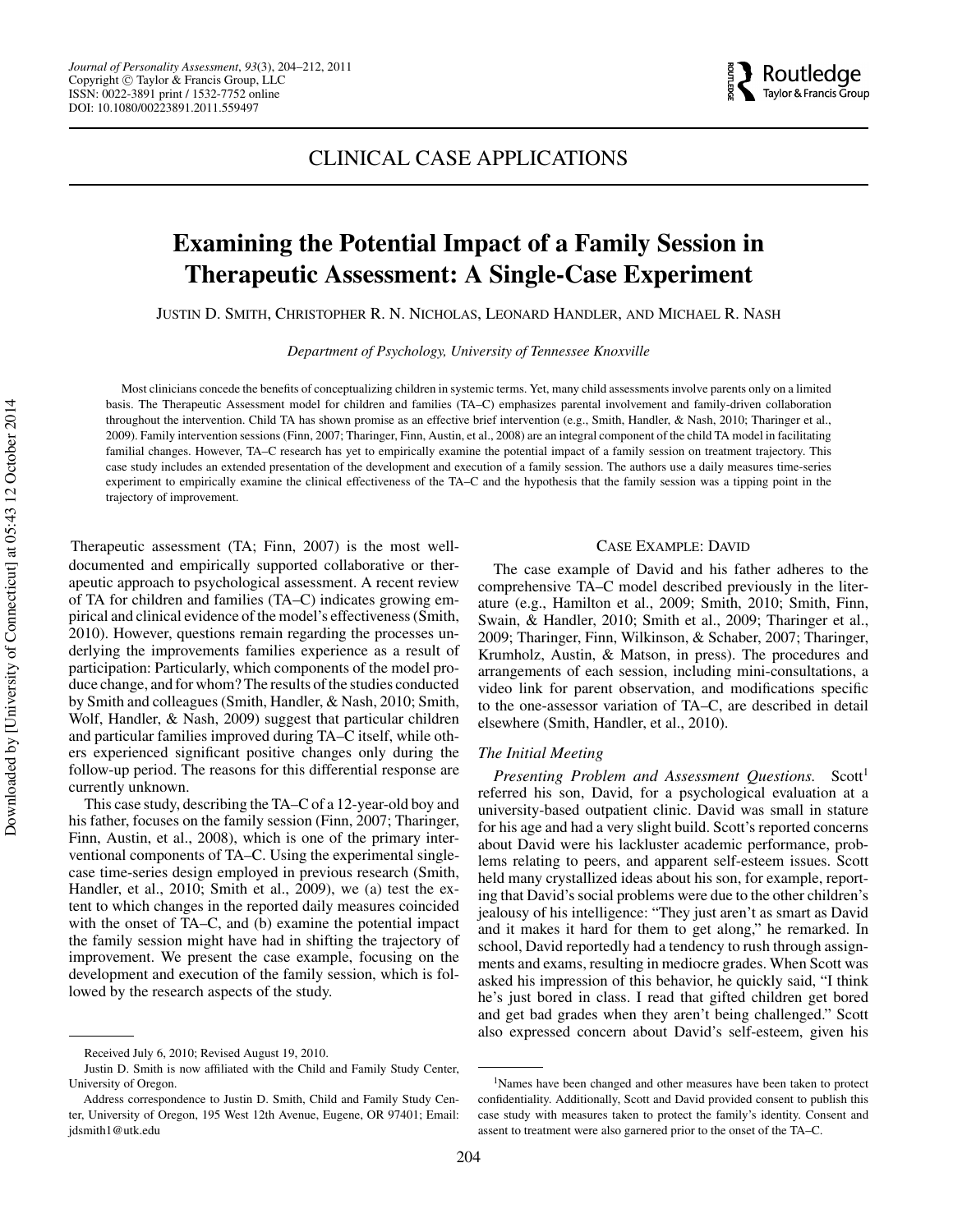

## CLINICAL CASE APPLICATIONS

# **Examining the Potential Impact of a Family Session in Therapeutic Assessment: A Single-Case Experiment**

JUSTIN D. SMITH, CHRISTOPHER R. N. NICHOLAS, LEONARD HANDLER, AND MICHAEL R. NASH

*Department of Psychology, University of Tennessee Knoxville*

Most clinicians concede the benefits of conceptualizing children in systemic terms. Yet, many child assessments involve parents only on a limited basis. The Therapeutic Assessment model for children and families (TA–C) emphasizes parental involvement and family-driven collaboration throughout the intervention. Child TA has shown promise as an effective brief intervention (e.g., Smith, Handler, & Nash, 2010; Tharinger et al., 2009). Family intervention sessions (Finn, 2007; Tharinger, Finn, Austin, et al., 2008) are an integral component of the child TA model in facilitating familial changes. However, TA–C research has yet to empirically examine the potential impact of a family session on treatment trajectory. This case study includes an extended presentation of the development and execution of a family session. The authors use a daily measures time-series experiment to empirically examine the clinical effectiveness of the TA–C and the hypothesis that the family session was a tipping point in the trajectory of improvement.

Therapeutic assessment (TA; Finn, 2007) is the most welldocumented and empirically supported collaborative or therapeutic approach to psychological assessment. A recent review of TA for children and families (TA–C) indicates growing empirical and clinical evidence of the model's effectiveness (Smith, 2010). However, questions remain regarding the processes underlying the improvements families experience as a result of participation: Particularly, which components of the model produce change, and for whom? The results of the studies conducted by Smith and colleagues (Smith, Handler, & Nash, 2010; Smith, Wolf, Handler, & Nash, 2009) suggest that particular children and particular families improved during TA–C itself, while others experienced significant positive changes only during the follow-up period. The reasons for this differential response are currently unknown.

This case study, describing the TA–C of a 12-year-old boy and his father, focuses on the family session (Finn, 2007; Tharinger, Finn, Austin, et al., 2008), which is one of the primary interventional components of TA–C. Using the experimental singlecase time-series design employed in previous research (Smith, Handler, et al., 2010; Smith et al., 2009), we (a) test the extent to which changes in the reported daily measures coincided with the onset of TA–C, and (b) examine the potential impact the family session might have had in shifting the trajectory of improvement. We present the case example, focusing on the development and execution of the family session, which is followed by the research aspects of the study.

## CASE EXAMPLE: DAVID

The case example of David and his father adheres to the comprehensive TA–C model described previously in the literature (e.g., Hamilton et al., 2009; Smith, 2010; Smith, Finn, Swain, & Handler, 2010; Smith et al., 2009; Tharinger et al., 2009; Tharinger, Finn, Wilkinson, & Schaber, 2007; Tharinger, Krumholz, Austin, & Matson, in press). The procedures and arrangements of each session, including mini-consultations, a video link for parent observation, and modifications specific to the one-assessor variation of TA–C, are described in detail elsewhere (Smith, Handler, et al., 2010).

#### *The Initial Meeting*

*Presenting Problem and Assessment Questions.* Scott<sup>1</sup> referred his son, David, for a psychological evaluation at a university-based outpatient clinic. David was small in stature for his age and had a very slight build. Scott's reported concerns about David were his lackluster academic performance, problems relating to peers, and apparent self-esteem issues. Scott held many crystallized ideas about his son, for example, reporting that David's social problems were due to the other children's jealousy of his intelligence: "They just aren't as smart as David and it makes it hard for them to get along," he remarked. In school, David reportedly had a tendency to rush through assignments and exams, resulting in mediocre grades. When Scott was asked his impression of this behavior, he quickly said, "I think he's just bored in class. I read that gifted children get bored and get bad grades when they aren't being challenged." Scott also expressed concern about David's self-esteem, given his

Received July 6, 2010; Revised August 19, 2010.

Justin D. Smith is now affiliated with the Child and Family Study Center, University of Oregon.

Address correspondence to Justin D. Smith, Child and Family Study Center, University of Oregon, 195 West 12th Avenue, Eugene, OR 97401; Email: jdsmith1@utk.edu

<sup>&</sup>lt;sup>1</sup>Names have been changed and other measures have been taken to protect confidentiality. Additionally, Scott and David provided consent to publish this case study with measures taken to protect the family's identity. Consent and assent to treatment were also garnered prior to the onset of the TA–C.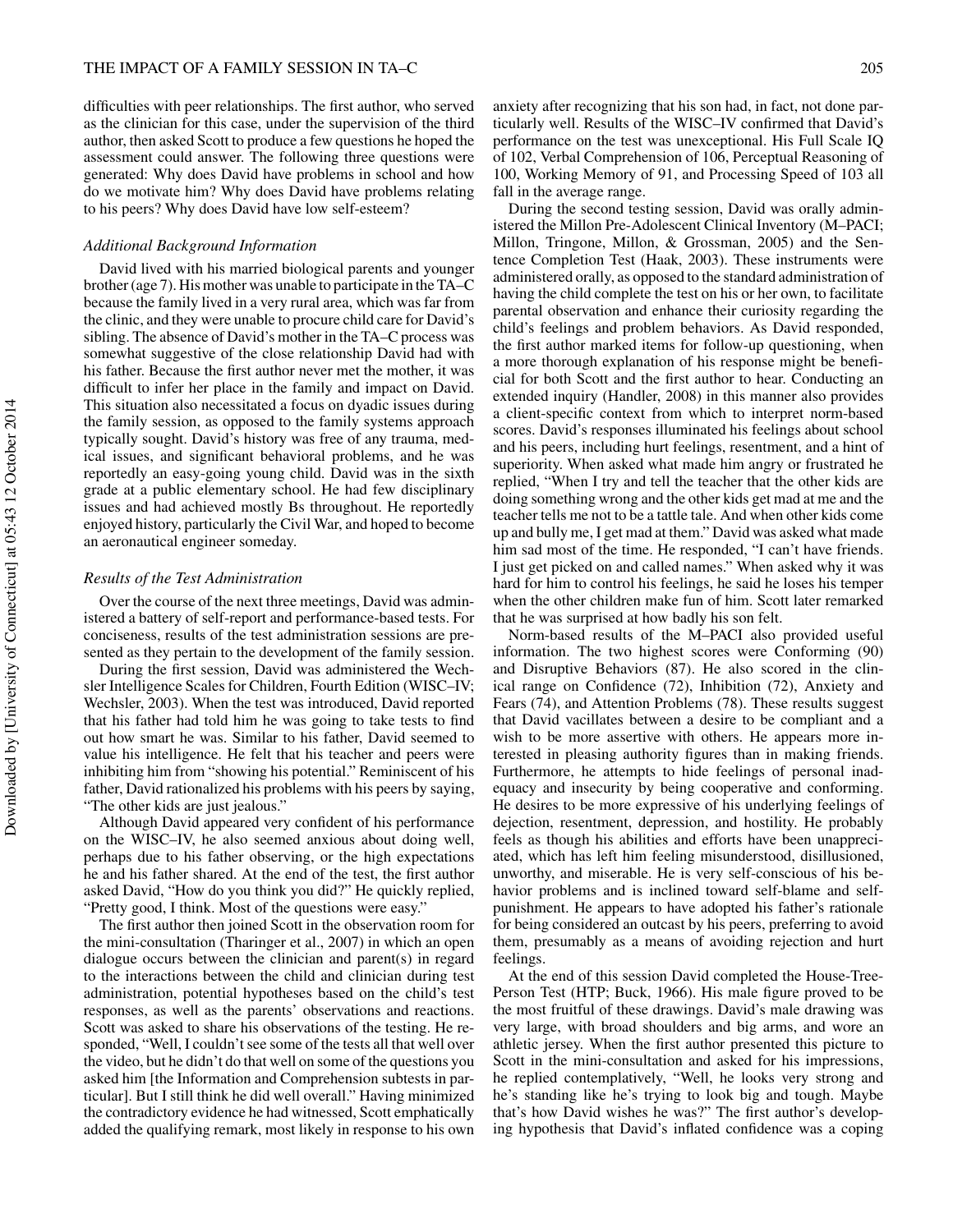difficulties with peer relationships. The first author, who served as the clinician for this case, under the supervision of the third author, then asked Scott to produce a few questions he hoped the assessment could answer. The following three questions were generated: Why does David have problems in school and how do we motivate him? Why does David have problems relating to his peers? Why does David have low self-esteem?

## *Additional Background Information*

David lived with his married biological parents and younger brother (age 7). His mother was unable to participate in the TA–C because the family lived in a very rural area, which was far from the clinic, and they were unable to procure child care for David's sibling. The absence of David's mother in the TA–C process was somewhat suggestive of the close relationship David had with his father. Because the first author never met the mother, it was difficult to infer her place in the family and impact on David. This situation also necessitated a focus on dyadic issues during the family session, as opposed to the family systems approach typically sought. David's history was free of any trauma, medical issues, and significant behavioral problems, and he was reportedly an easy-going young child. David was in the sixth grade at a public elementary school. He had few disciplinary issues and had achieved mostly Bs throughout. He reportedly enjoyed history, particularly the Civil War, and hoped to become an aeronautical engineer someday.

#### *Results of the Test Administration*

Over the course of the next three meetings, David was administered a battery of self-report and performance-based tests. For conciseness, results of the test administration sessions are presented as they pertain to the development of the family session.

During the first session, David was administered the Wechsler Intelligence Scales for Children, Fourth Edition (WISC–IV; Wechsler, 2003). When the test was introduced, David reported that his father had told him he was going to take tests to find out how smart he was. Similar to his father, David seemed to value his intelligence. He felt that his teacher and peers were inhibiting him from "showing his potential." Reminiscent of his father, David rationalized his problems with his peers by saying, "The other kids are just jealous."

Although David appeared very confident of his performance on the WISC–IV, he also seemed anxious about doing well, perhaps due to his father observing, or the high expectations he and his father shared. At the end of the test, the first author asked David, "How do you think you did?" He quickly replied, "Pretty good, I think. Most of the questions were easy."

The first author then joined Scott in the observation room for the mini-consultation (Tharinger et al., 2007) in which an open dialogue occurs between the clinician and parent(s) in regard to the interactions between the child and clinician during test administration, potential hypotheses based on the child's test responses, as well as the parents' observations and reactions. Scott was asked to share his observations of the testing. He responded, "Well, I couldn't see some of the tests all that well over the video, but he didn't do that well on some of the questions you asked him [the Information and Comprehension subtests in particular]. But I still think he did well overall." Having minimized the contradictory evidence he had witnessed, Scott emphatically added the qualifying remark, most likely in response to his own anxiety after recognizing that his son had, in fact, not done particularly well. Results of the WISC–IV confirmed that David's performance on the test was unexceptional. His Full Scale IQ of 102, Verbal Comprehension of 106, Perceptual Reasoning of 100, Working Memory of 91, and Processing Speed of 103 all fall in the average range.

During the second testing session, David was orally administered the Millon Pre-Adolescent Clinical Inventory (M–PACI; Millon, Tringone, Millon, & Grossman, 2005) and the Sentence Completion Test (Haak, 2003). These instruments were administered orally, as opposed to the standard administration of having the child complete the test on his or her own, to facilitate parental observation and enhance their curiosity regarding the child's feelings and problem behaviors. As David responded, the first author marked items for follow-up questioning, when a more thorough explanation of his response might be beneficial for both Scott and the first author to hear. Conducting an extended inquiry (Handler, 2008) in this manner also provides a client-specific context from which to interpret norm-based scores. David's responses illuminated his feelings about school and his peers, including hurt feelings, resentment, and a hint of superiority. When asked what made him angry or frustrated he replied, "When I try and tell the teacher that the other kids are doing something wrong and the other kids get mad at me and the teacher tells me not to be a tattle tale. And when other kids come up and bully me, I get mad at them." David was asked what made him sad most of the time. He responded, "I can't have friends. I just get picked on and called names." When asked why it was hard for him to control his feelings, he said he loses his temper when the other children make fun of him. Scott later remarked that he was surprised at how badly his son felt.

Norm-based results of the M–PACI also provided useful information. The two highest scores were Conforming (90) and Disruptive Behaviors (87). He also scored in the clinical range on Confidence (72), Inhibition (72), Anxiety and Fears (74), and Attention Problems (78). These results suggest that David vacillates between a desire to be compliant and a wish to be more assertive with others. He appears more interested in pleasing authority figures than in making friends. Furthermore, he attempts to hide feelings of personal inadequacy and insecurity by being cooperative and conforming. He desires to be more expressive of his underlying feelings of dejection, resentment, depression, and hostility. He probably feels as though his abilities and efforts have been unappreciated, which has left him feeling misunderstood, disillusioned, unworthy, and miserable. He is very self-conscious of his behavior problems and is inclined toward self-blame and selfpunishment. He appears to have adopted his father's rationale for being considered an outcast by his peers, preferring to avoid them, presumably as a means of avoiding rejection and hurt feelings.

At the end of this session David completed the House-Tree-Person Test (HTP; Buck, 1966). His male figure proved to be the most fruitful of these drawings. David's male drawing was very large, with broad shoulders and big arms, and wore an athletic jersey. When the first author presented this picture to Scott in the mini-consultation and asked for his impressions, he replied contemplatively, "Well, he looks very strong and he's standing like he's trying to look big and tough. Maybe that's how David wishes he was?" The first author's developing hypothesis that David's inflated confidence was a coping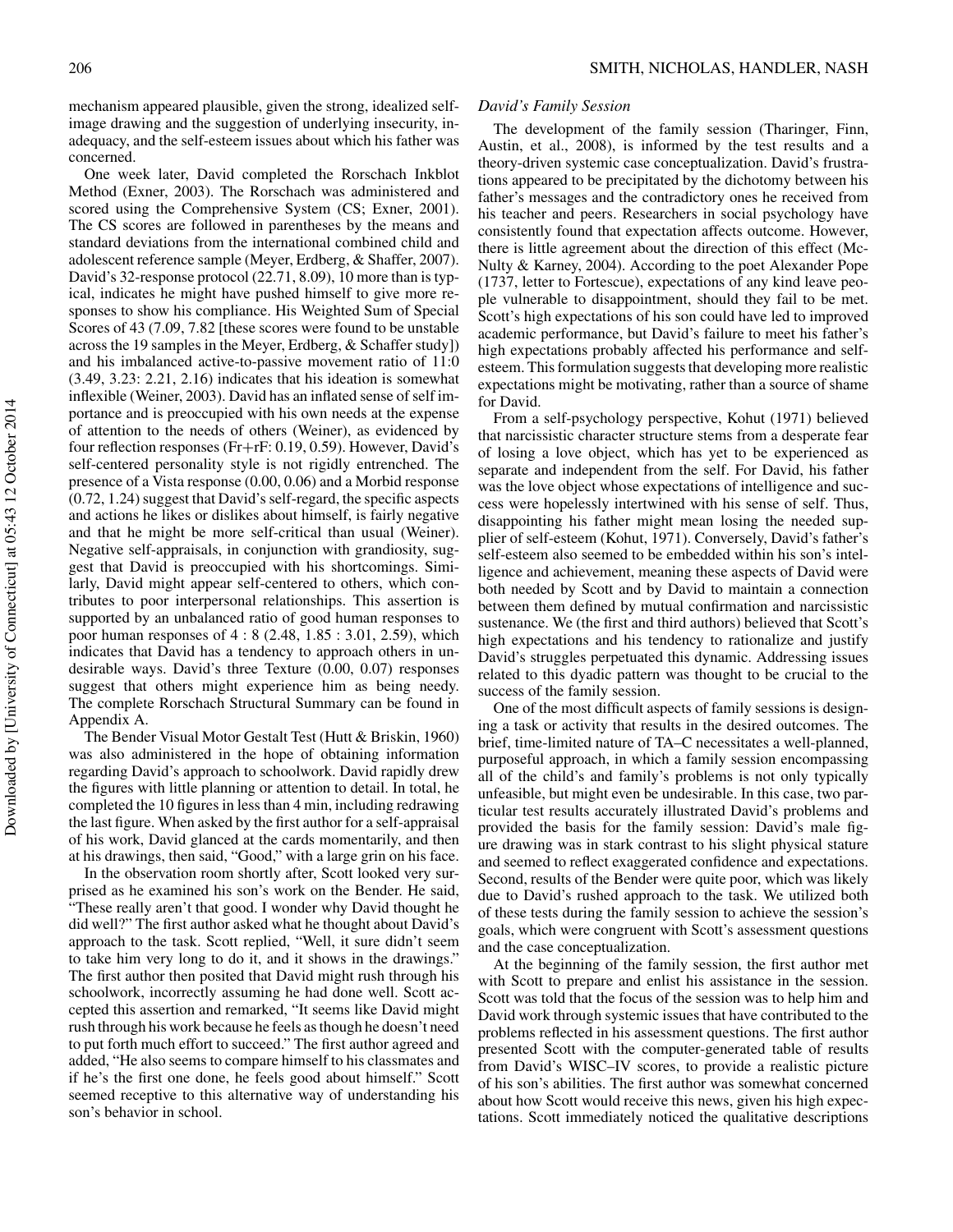mechanism appeared plausible, given the strong, idealized selfimage drawing and the suggestion of underlying insecurity, inadequacy, and the self-esteem issues about which his father was concerned.

One week later, David completed the Rorschach Inkblot Method (Exner, 2003). The Rorschach was administered and scored using the Comprehensive System (CS; Exner, 2001). The CS scores are followed in parentheses by the means and standard deviations from the international combined child and adolescent reference sample (Meyer, Erdberg, & Shaffer, 2007). David's 32-response protocol (22.71, 8.09), 10 more than is typical, indicates he might have pushed himself to give more responses to show his compliance. His Weighted Sum of Special Scores of 43 (7.09, 7.82 [these scores were found to be unstable across the 19 samples in the Meyer, Erdberg, & Schaffer study]) and his imbalanced active-to-passive movement ratio of 11:0 (3.49, 3.23: 2.21, 2.16) indicates that his ideation is somewhat inflexible (Weiner, 2003). David has an inflated sense of self importance and is preoccupied with his own needs at the expense of attention to the needs of others (Weiner), as evidenced by four reflection responses (Fr+rF: 0.19, 0.59). However, David's self-centered personality style is not rigidly entrenched. The presence of a Vista response (0.00, 0.06) and a Morbid response (0.72, 1.24) suggest that David's self-regard, the specific aspects and actions he likes or dislikes about himself, is fairly negative and that he might be more self-critical than usual (Weiner). Negative self-appraisals, in conjunction with grandiosity, suggest that David is preoccupied with his shortcomings. Similarly, David might appear self-centered to others, which contributes to poor interpersonal relationships. This assertion is supported by an unbalanced ratio of good human responses to poor human responses of 4 : 8 (2.48, 1.85 : 3.01, 2.59), which indicates that David has a tendency to approach others in undesirable ways. David's three Texture (0.00, 0.07) responses suggest that others might experience him as being needy. The complete Rorschach Structural Summary can be found in Appendix A.

The Bender Visual Motor Gestalt Test (Hutt & Briskin, 1960) was also administered in the hope of obtaining information regarding David's approach to schoolwork. David rapidly drew the figures with little planning or attention to detail. In total, he completed the 10 figures in less than 4 min, including redrawing the last figure. When asked by the first author for a self-appraisal of his work, David glanced at the cards momentarily, and then at his drawings, then said, "Good," with a large grin on his face.

In the observation room shortly after, Scott looked very surprised as he examined his son's work on the Bender. He said, "These really aren't that good. I wonder why David thought he did well?" The first author asked what he thought about David's approach to the task. Scott replied, "Well, it sure didn't seem to take him very long to do it, and it shows in the drawings." The first author then posited that David might rush through his schoolwork, incorrectly assuming he had done well. Scott accepted this assertion and remarked, "It seems like David might rush through his work because he feels as though he doesn't need to put forth much effort to succeed." The first author agreed and added, "He also seems to compare himself to his classmates and if he's the first one done, he feels good about himself." Scott seemed receptive to this alternative way of understanding his son's behavior in school.

#### *David's Family Session*

The development of the family session (Tharinger, Finn, Austin, et al., 2008), is informed by the test results and a theory-driven systemic case conceptualization. David's frustrations appeared to be precipitated by the dichotomy between his father's messages and the contradictory ones he received from his teacher and peers. Researchers in social psychology have consistently found that expectation affects outcome. However, there is little agreement about the direction of this effect (Mc-Nulty & Karney, 2004). According to the poet Alexander Pope (1737, letter to Fortescue), expectations of any kind leave people vulnerable to disappointment, should they fail to be met. Scott's high expectations of his son could have led to improved academic performance, but David's failure to meet his father's high expectations probably affected his performance and selfesteem. This formulation suggests that developing more realistic expectations might be motivating, rather than a source of shame for David.

From a self-psychology perspective, Kohut (1971) believed that narcissistic character structure stems from a desperate fear of losing a love object, which has yet to be experienced as separate and independent from the self. For David, his father was the love object whose expectations of intelligence and success were hopelessly intertwined with his sense of self. Thus, disappointing his father might mean losing the needed supplier of self-esteem (Kohut, 1971). Conversely, David's father's self-esteem also seemed to be embedded within his son's intelligence and achievement, meaning these aspects of David were both needed by Scott and by David to maintain a connection between them defined by mutual confirmation and narcissistic sustenance. We (the first and third authors) believed that Scott's high expectations and his tendency to rationalize and justify David's struggles perpetuated this dynamic. Addressing issues related to this dyadic pattern was thought to be crucial to the success of the family session.

One of the most difficult aspects of family sessions is designing a task or activity that results in the desired outcomes. The brief, time-limited nature of TA–C necessitates a well-planned, purposeful approach, in which a family session encompassing all of the child's and family's problems is not only typically unfeasible, but might even be undesirable. In this case, two particular test results accurately illustrated David's problems and provided the basis for the family session: David's male figure drawing was in stark contrast to his slight physical stature and seemed to reflect exaggerated confidence and expectations. Second, results of the Bender were quite poor, which was likely due to David's rushed approach to the task. We utilized both of these tests during the family session to achieve the session's goals, which were congruent with Scott's assessment questions and the case conceptualization.

At the beginning of the family session, the first author met with Scott to prepare and enlist his assistance in the session. Scott was told that the focus of the session was to help him and David work through systemic issues that have contributed to the problems reflected in his assessment questions. The first author presented Scott with the computer-generated table of results from David's WISC–IV scores, to provide a realistic picture of his son's abilities. The first author was somewhat concerned about how Scott would receive this news, given his high expectations. Scott immediately noticed the qualitative descriptions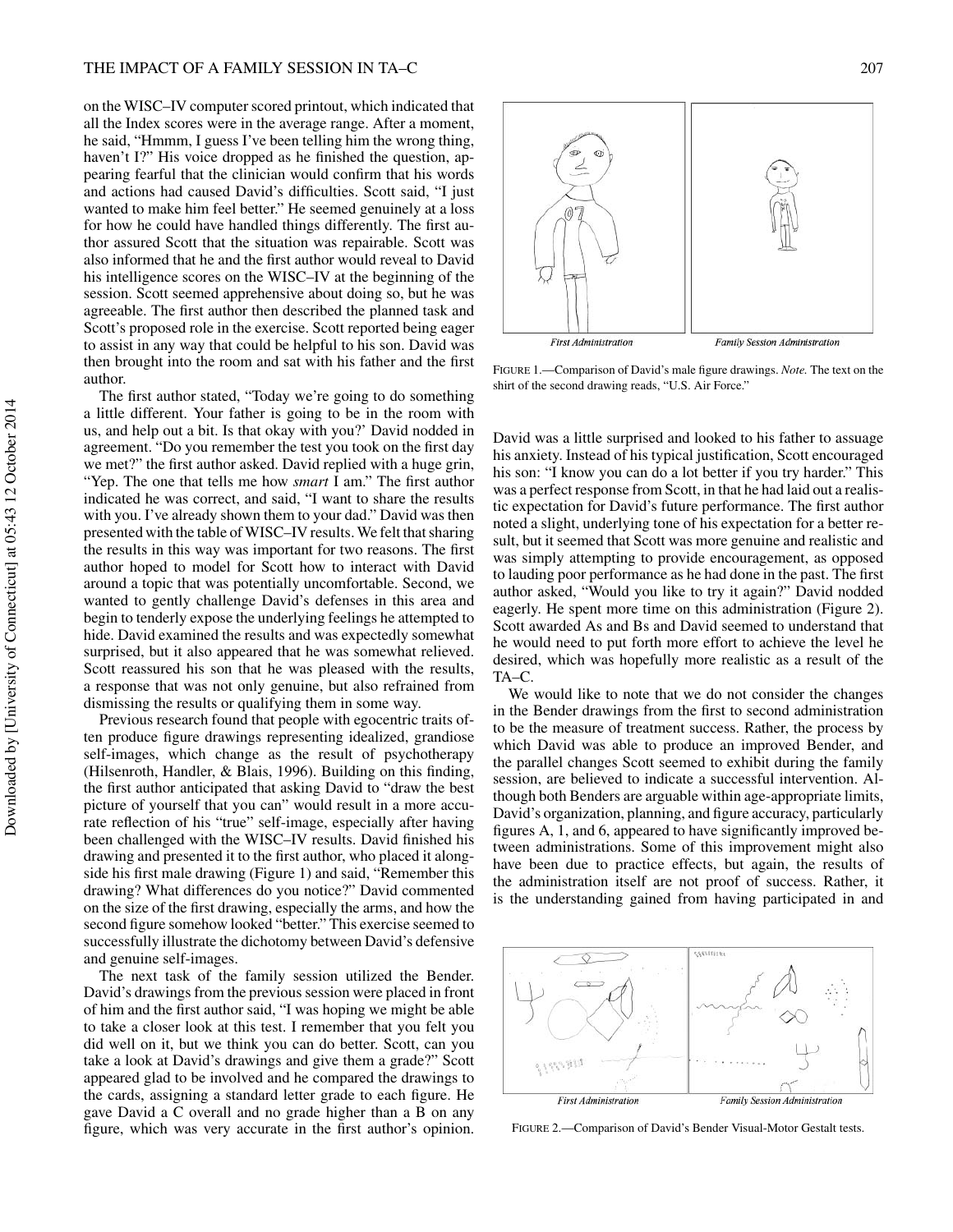## THE IMPACT OF A FAMILY SESSION IN TA–C 207

on the WISC–IV computer scored printout, which indicated that all the Index scores were in the average range. After a moment, he said, "Hmmm, I guess I've been telling him the wrong thing, haven't I?" His voice dropped as he finished the question, appearing fearful that the clinician would confirm that his words and actions had caused David's difficulties. Scott said, "I just wanted to make him feel better." He seemed genuinely at a loss for how he could have handled things differently. The first author assured Scott that the situation was repairable. Scott was also informed that he and the first author would reveal to David his intelligence scores on the WISC–IV at the beginning of the session. Scott seemed apprehensive about doing so, but he was agreeable. The first author then described the planned task and Scott's proposed role in the exercise. Scott reported being eager to assist in any way that could be helpful to his son. David was then brought into the room and sat with his father and the first author.

The first author stated, "Today we're going to do something a little different. Your father is going to be in the room with us, and help out a bit. Is that okay with you?' David nodded in agreement. "Do you remember the test you took on the first day we met?" the first author asked. David replied with a huge grin, "Yep. The one that tells me how *smart* I am." The first author indicated he was correct, and said, "I want to share the results with you. I've already shown them to your dad." David was then presented with the table of WISC–IV results. We felt that sharing the results in this way was important for two reasons. The first author hoped to model for Scott how to interact with David around a topic that was potentially uncomfortable. Second, we wanted to gently challenge David's defenses in this area and begin to tenderly expose the underlying feelings he attempted to hide. David examined the results and was expectedly somewhat surprised, but it also appeared that he was somewhat relieved. Scott reassured his son that he was pleased with the results, a response that was not only genuine, but also refrained from dismissing the results or qualifying them in some way.

Previous research found that people with egocentric traits often produce figure drawings representing idealized, grandiose self-images, which change as the result of psychotherapy (Hilsenroth, Handler, & Blais, 1996). Building on this finding, the first author anticipated that asking David to "draw the best picture of yourself that you can" would result in a more accurate reflection of his "true" self-image, especially after having been challenged with the WISC–IV results. David finished his drawing and presented it to the first author, who placed it alongside his first male drawing (Figure 1) and said, "Remember this drawing? What differences do you notice?" David commented on the size of the first drawing, especially the arms, and how the second figure somehow looked "better." This exercise seemed to successfully illustrate the dichotomy between David's defensive and genuine self-images.

The next task of the family session utilized the Bender. David's drawings from the previous session were placed in front of him and the first author said, "I was hoping we might be able to take a closer look at this test. I remember that you felt you did well on it, but we think you can do better. Scott, can you take a look at David's drawings and give them a grade?" Scott appeared glad to be involved and he compared the drawings to the cards, assigning a standard letter grade to each figure. He gave David a C overall and no grade higher than a B on any figure, which was very accurate in the first author's opinion.



FIGURE 1.—Comparison of David's male figure drawings. *Note.* The text on the shirt of the second drawing reads, "U.S. Air Force."

David was a little surprised and looked to his father to assuage his anxiety. Instead of his typical justification, Scott encouraged his son: "I know you can do a lot better if you try harder." This was a perfect response from Scott, in that he had laid out a realistic expectation for David's future performance. The first author noted a slight, underlying tone of his expectation for a better result, but it seemed that Scott was more genuine and realistic and was simply attempting to provide encouragement, as opposed to lauding poor performance as he had done in the past. The first author asked, "Would you like to try it again?" David nodded eagerly. He spent more time on this administration (Figure 2). Scott awarded As and Bs and David seemed to understand that he would need to put forth more effort to achieve the level he desired, which was hopefully more realistic as a result of the TA–C.

We would like to note that we do not consider the changes in the Bender drawings from the first to second administration to be the measure of treatment success. Rather, the process by which David was able to produce an improved Bender, and the parallel changes Scott seemed to exhibit during the family session, are believed to indicate a successful intervention. Although both Benders are arguable within age-appropriate limits, David's organization, planning, and figure accuracy, particularly figures A, 1, and 6, appeared to have significantly improved between administrations. Some of this improvement might also have been due to practice effects, but again, the results of the administration itself are not proof of success. Rather, it is the understanding gained from having participated in and



FIGURE 2.—Comparison of David's Bender Visual-Motor Gestalt tests.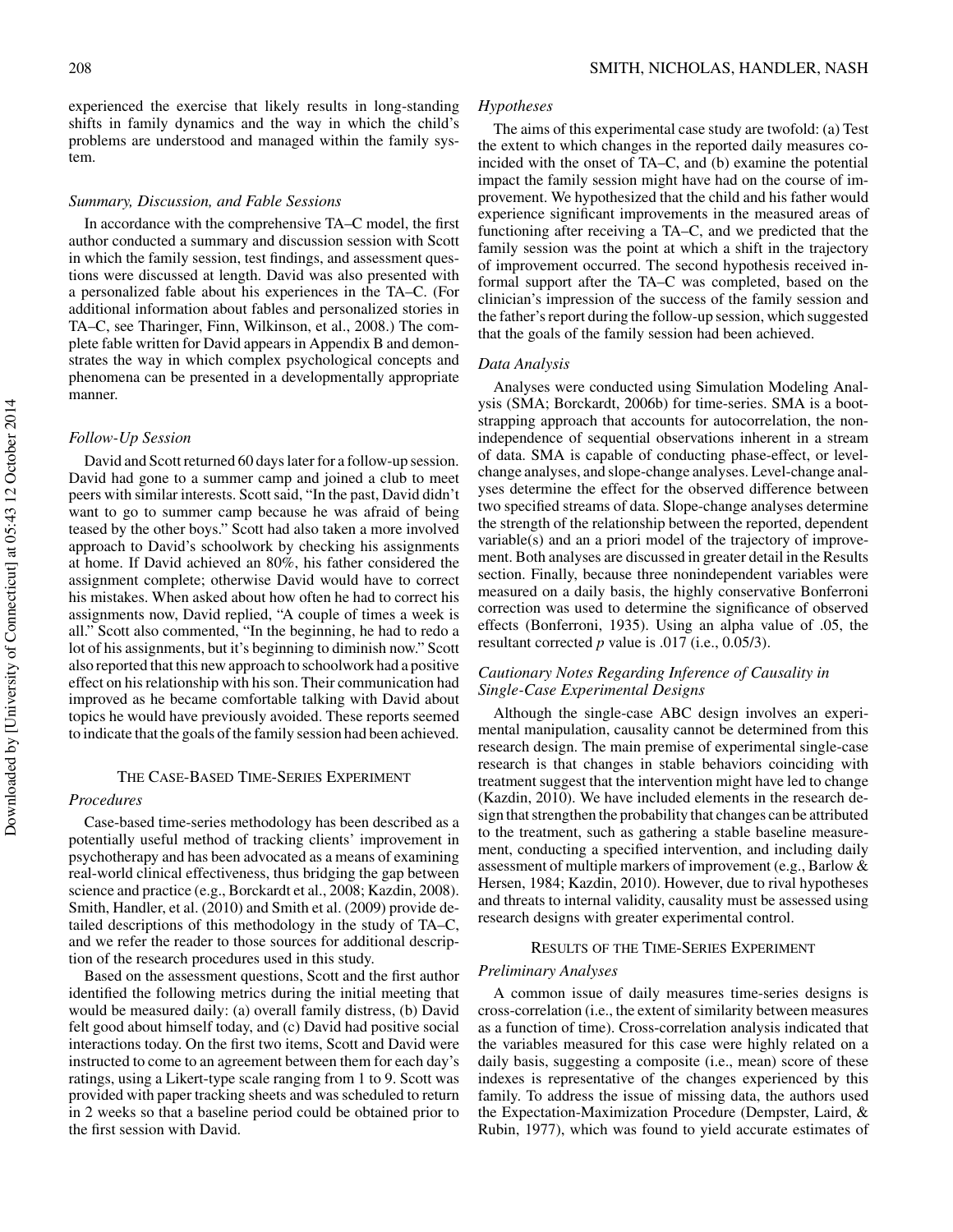experienced the exercise that likely results in long-standing shifts in family dynamics and the way in which the child's problems are understood and managed within the family system.

#### *Summary, Discussion, and Fable Sessions*

In accordance with the comprehensive TA–C model, the first author conducted a summary and discussion session with Scott in which the family session, test findings, and assessment questions were discussed at length. David was also presented with a personalized fable about his experiences in the TA–C. (For additional information about fables and personalized stories in TA–C, see Tharinger, Finn, Wilkinson, et al., 2008.) The complete fable written for David appears in Appendix B and demonstrates the way in which complex psychological concepts and phenomena can be presented in a developmentally appropriate manner.

## *Follow-Up Session*

David and Scott returned 60 days later for a follow-up session. David had gone to a summer camp and joined a club to meet peers with similar interests. Scott said, "In the past, David didn't want to go to summer camp because he was afraid of being teased by the other boys." Scott had also taken a more involved approach to David's schoolwork by checking his assignments at home. If David achieved an 80%, his father considered the assignment complete; otherwise David would have to correct his mistakes. When asked about how often he had to correct his assignments now, David replied, "A couple of times a week is all." Scott also commented, "In the beginning, he had to redo a lot of his assignments, but it's beginning to diminish now." Scott also reported that this new approach to schoolwork had a positive effect on his relationship with his son. Their communication had improved as he became comfortable talking with David about topics he would have previously avoided. These reports seemed to indicate that the goals of the family session had been achieved.

## THE CASE-BASED TIME-SERIES EXPERIMENT

#### *Procedures*

Case-based time-series methodology has been described as a potentially useful method of tracking clients' improvement in psychotherapy and has been advocated as a means of examining real-world clinical effectiveness, thus bridging the gap between science and practice (e.g., Borckardt et al., 2008; Kazdin, 2008). Smith, Handler, et al. (2010) and Smith et al. (2009) provide detailed descriptions of this methodology in the study of TA–C, and we refer the reader to those sources for additional description of the research procedures used in this study.

Based on the assessment questions, Scott and the first author identified the following metrics during the initial meeting that would be measured daily: (a) overall family distress, (b) David felt good about himself today, and (c) David had positive social interactions today. On the first two items, Scott and David were instructed to come to an agreement between them for each day's ratings, using a Likert-type scale ranging from 1 to 9. Scott was provided with paper tracking sheets and was scheduled to return in 2 weeks so that a baseline period could be obtained prior to the first session with David.

#### *Hypotheses*

The aims of this experimental case study are twofold: (a) Test the extent to which changes in the reported daily measures coincided with the onset of TA–C, and (b) examine the potential impact the family session might have had on the course of improvement. We hypothesized that the child and his father would experience significant improvements in the measured areas of functioning after receiving a TA–C, and we predicted that the family session was the point at which a shift in the trajectory of improvement occurred. The second hypothesis received informal support after the TA–C was completed, based on the clinician's impression of the success of the family session and the father's report during the follow-up session, which suggested that the goals of the family session had been achieved.

#### *Data Analysis*

Analyses were conducted using Simulation Modeling Analysis (SMA; Borckardt, 2006b) for time-series. SMA is a bootstrapping approach that accounts for autocorrelation, the nonindependence of sequential observations inherent in a stream of data. SMA is capable of conducting phase-effect, or levelchange analyses, and slope-change analyses. Level-change analyses determine the effect for the observed difference between two specified streams of data. Slope-change analyses determine the strength of the relationship between the reported, dependent variable(s) and an a priori model of the trajectory of improvement. Both analyses are discussed in greater detail in the Results section. Finally, because three nonindependent variables were measured on a daily basis, the highly conservative Bonferroni correction was used to determine the significance of observed effects (Bonferroni, 1935). Using an alpha value of .05, the resultant corrected *p* value is .017 (i.e., 0.05/3).

## *Cautionary Notes Regarding Inference of Causality in Single-Case Experimental Designs*

Although the single-case ABC design involves an experimental manipulation, causality cannot be determined from this research design. The main premise of experimental single-case research is that changes in stable behaviors coinciding with treatment suggest that the intervention might have led to change (Kazdin, 2010). We have included elements in the research design that strengthen the probability that changes can be attributed to the treatment, such as gathering a stable baseline measurement, conducting a specified intervention, and including daily assessment of multiple markers of improvement (e.g., Barlow & Hersen, 1984; Kazdin, 2010). However, due to rival hypotheses and threats to internal validity, causality must be assessed using research designs with greater experimental control.

#### RESULTS OF THE TIME-SERIES EXPERIMENT

#### *Preliminary Analyses*

A common issue of daily measures time-series designs is cross-correlation (i.e., the extent of similarity between measures as a function of time). Cross-correlation analysis indicated that the variables measured for this case were highly related on a daily basis, suggesting a composite (i.e., mean) score of these indexes is representative of the changes experienced by this family. To address the issue of missing data, the authors used the Expectation-Maximization Procedure (Dempster, Laird, & Rubin, 1977), which was found to yield accurate estimates of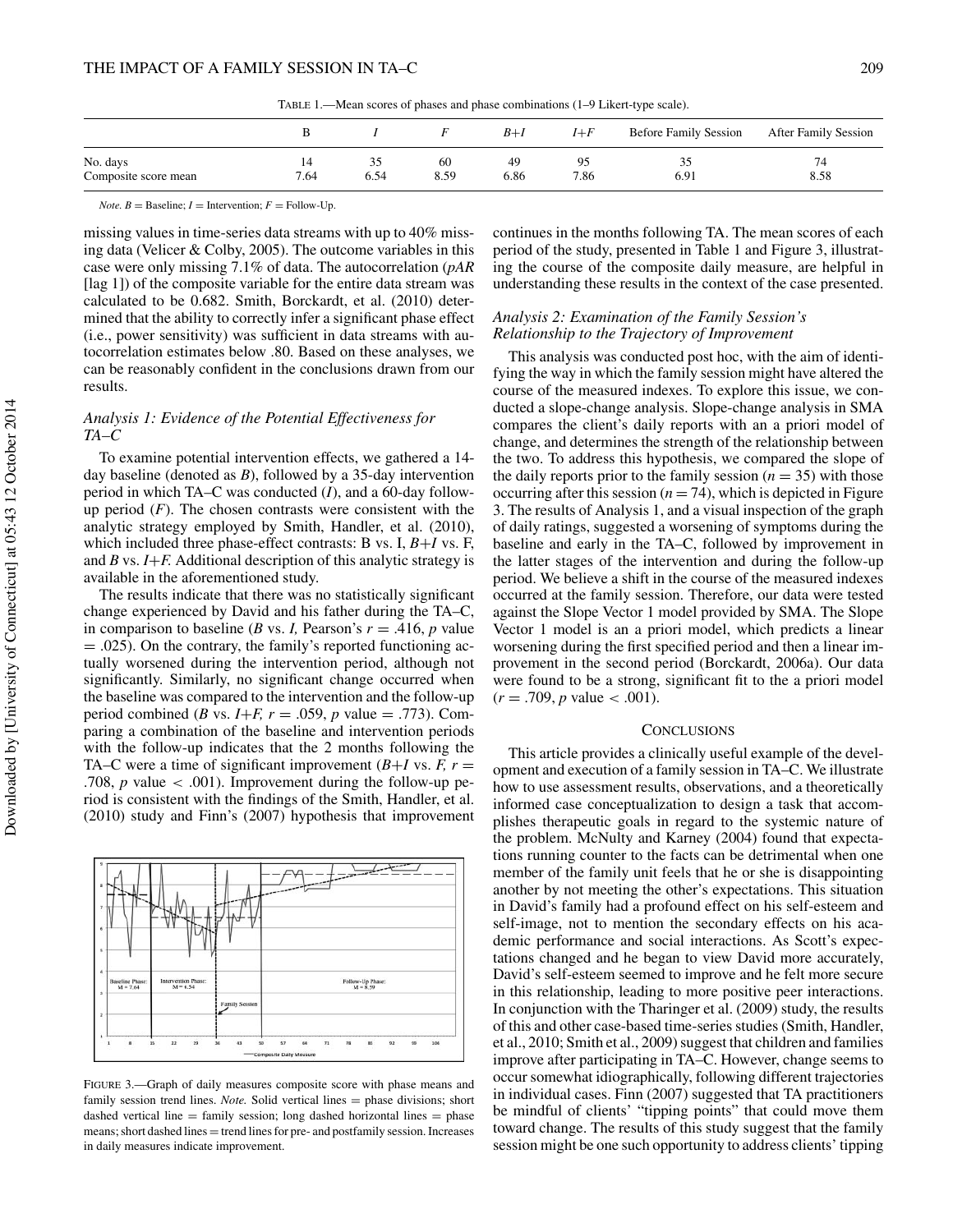TABLE 1.—Mean scores of phases and phase combinations (1–9 Likert-type scale).

|                      |      |      |      | $B+I$ | l+F  | <b>Before Family Session</b> | After Family Session |
|----------------------|------|------|------|-------|------|------------------------------|----------------------|
| No. days             | 7.64 | 33   | 60   | 49    | o٠   | 33                           | 74                   |
| Composite score mean |      | 6.54 | 8.59 | 6.86  | 7.86 | 6.91                         | 8.58                 |

*Note.*  $B =$  Baseline;  $I =$  Intervention;  $F =$  Follow-Up.

missing values in time-series data streams with up to 40% missing data (Velicer & Colby, 2005). The outcome variables in this case were only missing 7.1% of data. The autocorrelation (*pAR* [lag 1]) of the composite variable for the entire data stream was calculated to be 0.682. Smith, Borckardt, et al. (2010) determined that the ability to correctly infer a significant phase effect (i.e., power sensitivity) was sufficient in data streams with autocorrelation estimates below .80. Based on these analyses, we can be reasonably confident in the conclusions drawn from our results.

## *Analysis 1: Evidence of the Potential Effectiveness for TA–C*

To examine potential intervention effects, we gathered a 14 day baseline (denoted as *B*), followed by a 35-day intervention period in which TA–C was conducted (*I*), and a 60-day followup period  $(F)$ . The chosen contrasts were consistent with the analytic strategy employed by Smith, Handler, et al. (2010), which included three phase-effect contrasts: B vs. I, *B*+*I* vs. F, and *B* vs. *I*+*F.* Additional description of this analytic strategy is available in the aforementioned study.

The results indicate that there was no statistically significant change experienced by David and his father during the TA–C, in comparison to baseline (*B* vs. *I*, Pearson's  $r = .416$ , *p* value  $= .025$ ). On the contrary, the family's reported functioning actually worsened during the intervention period, although not significantly. Similarly, no significant change occurred when the baseline was compared to the intervention and the follow-up period combined (*B* vs.  $I + F$ ,  $r = .059$ ,  $p$  value = .773). Comparing a combination of the baseline and intervention periods with the follow-up indicates that the 2 months following the TA–C were a time of significant improvement  $(B+I)$  vs. *F, r* = .708, *p* value *<* .001). Improvement during the follow-up period is consistent with the findings of the Smith, Handler, et al. (2010) study and Finn's (2007) hypothesis that improvement



FIGURE 3.—Graph of daily measures composite score with phase means and family session trend lines. *Note*. Solid vertical lines = phase divisions; short dashed vertical line  $=$  family session; long dashed horizontal lines  $=$  phase means; short dashed lines = trend lines for pre- and postfamily session. Increases in daily measures indicate improvement.

continues in the months following TA. The mean scores of each period of the study, presented in Table 1 and Figure 3, illustrating the course of the composite daily measure, are helpful in understanding these results in the context of the case presented.

## *Analysis 2: Examination of the Family Session's Relationship to the Trajectory of Improvement*

This analysis was conducted post hoc, with the aim of identifying the way in which the family session might have altered the course of the measured indexes. To explore this issue, we conducted a slope-change analysis. Slope-change analysis in SMA compares the client's daily reports with an a priori model of change, and determines the strength of the relationship between the two. To address this hypothesis, we compared the slope of the daily reports prior to the family session  $(n = 35)$  with those occurring after this session  $(n = 74)$ , which is depicted in Figure 3. The results of Analysis 1, and a visual inspection of the graph of daily ratings, suggested a worsening of symptoms during the baseline and early in the TA–C, followed by improvement in the latter stages of the intervention and during the follow-up period. We believe a shift in the course of the measured indexes occurred at the family session. Therefore, our data were tested against the Slope Vector 1 model provided by SMA. The Slope Vector 1 model is an a priori model, which predicts a linear worsening during the first specified period and then a linear improvement in the second period (Borckardt, 2006a). Our data were found to be a strong, significant fit to the a priori model (*r* = .709, *p* value *<* .001).

#### **CONCLUSIONS**

This article provides a clinically useful example of the development and execution of a family session in TA–C. We illustrate how to use assessment results, observations, and a theoretically informed case conceptualization to design a task that accomplishes therapeutic goals in regard to the systemic nature of the problem. McNulty and Karney (2004) found that expectations running counter to the facts can be detrimental when one member of the family unit feels that he or she is disappointing another by not meeting the other's expectations. This situation in David's family had a profound effect on his self-esteem and self-image, not to mention the secondary effects on his academic performance and social interactions. As Scott's expectations changed and he began to view David more accurately, David's self-esteem seemed to improve and he felt more secure in this relationship, leading to more positive peer interactions. In conjunction with the Tharinger et al. (2009) study, the results of this and other case-based time-series studies (Smith, Handler, et al., 2010; Smith et al., 2009) suggest that children and families improve after participating in TA–C. However, change seems to occur somewhat idiographically, following different trajectories in individual cases. Finn (2007) suggested that TA practitioners be mindful of clients' "tipping points" that could move them toward change. The results of this study suggest that the family session might be one such opportunity to address clients' tipping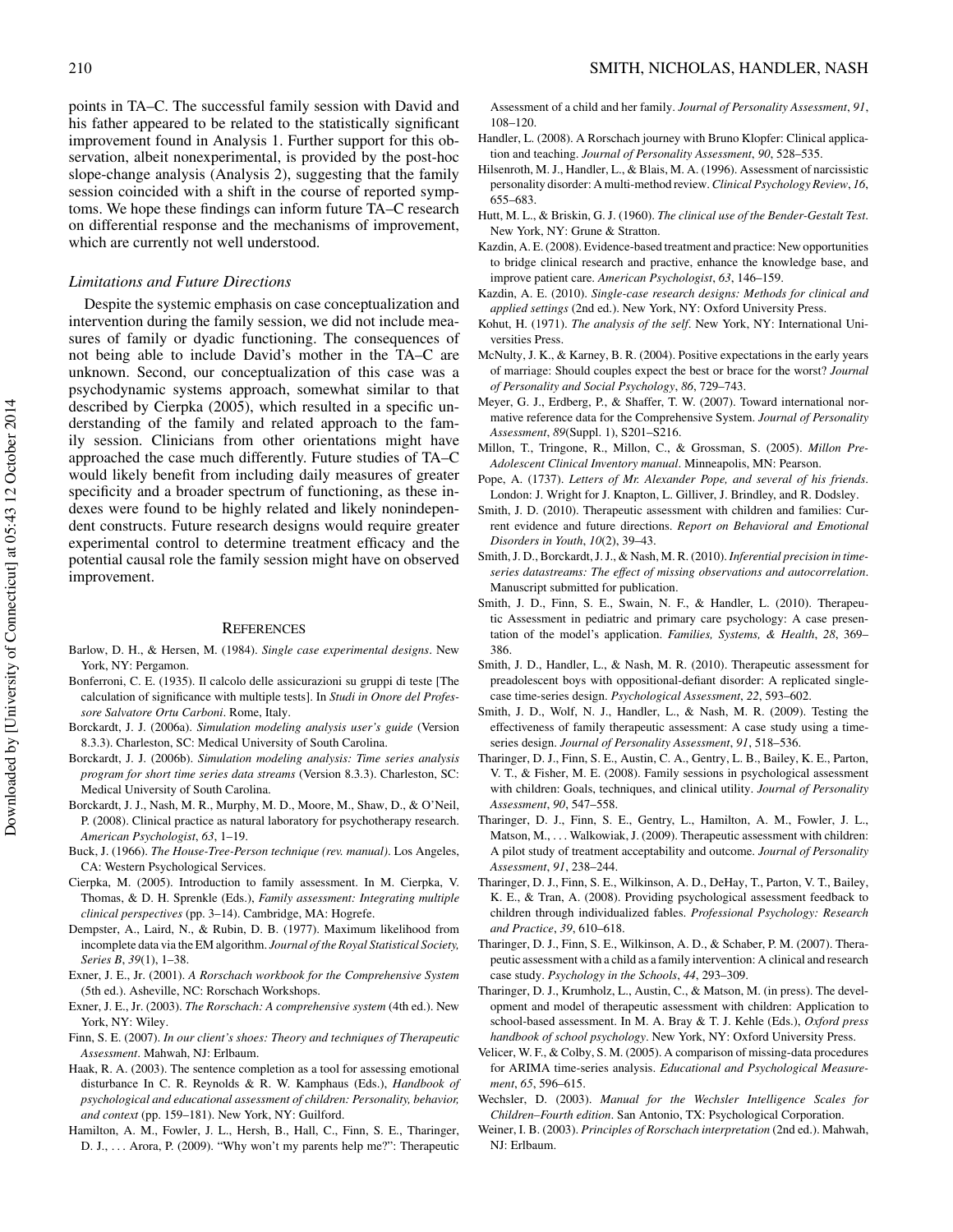points in TA–C. The successful family session with David and his father appeared to be related to the statistically significant improvement found in Analysis 1. Further support for this observation, albeit nonexperimental, is provided by the post-hoc slope-change analysis (Analysis 2), suggesting that the family session coincided with a shift in the course of reported symptoms. We hope these findings can inform future TA–C research on differential response and the mechanisms of improvement, which are currently not well understood.

## *Limitations and Future Directions*

Despite the systemic emphasis on case conceptualization and intervention during the family session, we did not include measures of family or dyadic functioning. The consequences of not being able to include David's mother in the TA–C are unknown. Second, our conceptualization of this case was a psychodynamic systems approach, somewhat similar to that described by Cierpka (2005), which resulted in a specific understanding of the family and related approach to the family session. Clinicians from other orientations might have approached the case much differently. Future studies of TA–C would likely benefit from including daily measures of greater specificity and a broader spectrum of functioning, as these indexes were found to be highly related and likely nonindependent constructs. Future research designs would require greater experimental control to determine treatment efficacy and the potential causal role the family session might have on observed improvement.

#### **REFERENCES**

- Barlow, D. H., & Hersen, M. (1984). *Single case experimental designs*. New York, NY: Pergamon.
- Bonferroni, C. E. (1935). Il calcolo delle assicurazioni su gruppi di teste [The calculation of significance with multiple tests]. In *Studi in Onore del Professore Salvatore Ortu Carboni*. Rome, Italy.
- Borckardt, J. J. (2006a). *Simulation modeling analysis user's guide* (Version 8.3.3). Charleston, SC: Medical University of South Carolina.
- Borckardt, J. J. (2006b). *Simulation modeling analysis: Time series analysis program for short time series data streams* (Version 8.3.3). Charleston, SC: Medical University of South Carolina.
- Borckardt, J. J., Nash, M. R., Murphy, M. D., Moore, M., Shaw, D., & O'Neil, P. (2008). Clinical practice as natural laboratory for psychotherapy research. *American Psychologist*, *63*, 1–19.
- Buck, J. (1966). *The House-Tree-Person technique (rev. manual)*. Los Angeles, CA: Western Psychological Services.
- Cierpka, M. (2005). Introduction to family assessment. In M. Cierpka, V. Thomas, & D. H. Sprenkle (Eds.), *Family assessment: Integrating multiple clinical perspectives* (pp. 3–14). Cambridge, MA: Hogrefe.
- Dempster, A., Laird, N., & Rubin, D. B. (1977). Maximum likelihood from incomplete data via the EM algorithm. *Journal of the Royal Statistical Society, Series B*, *39*(1), 1–38.
- Exner, J. E., Jr. (2001). *A Rorschach workbook for the Comprehensive System* (5th ed.). Asheville, NC: Rorschach Workshops.
- Exner, J. E., Jr. (2003). *The Rorschach: A comprehensive system* (4th ed.). New York, NY: Wiley.
- Finn, S. E. (2007). *In our client's shoes: Theory and techniques of Therapeutic Assessment*. Mahwah, NJ: Erlbaum.
- Haak, R. A. (2003). The sentence completion as a tool for assessing emotional disturbance In C. R. Reynolds & R. W. Kamphaus (Eds.), *Handbook of psychological and educational assessment of children: Personality, behavior, and context* (pp. 159–181). New York, NY: Guilford.
- Hamilton, A. M., Fowler, J. L., Hersh, B., Hall, C., Finn, S. E., Tharinger, D. J., *...* Arora, P. (2009). "Why won't my parents help me?": Therapeutic

Assessment of a child and her family. *Journal of Personality Assessment*, *91*, 108–120.

- Handler, L. (2008). A Rorschach journey with Bruno Klopfer: Clinical application and teaching. *Journal of Personality Assessment*, *90*, 528–535.
- Hilsenroth, M. J., Handler, L., & Blais, M. A. (1996). Assessment of narcissistic personality disorder: A multi-method review.*Clinical Psychology Review*, *16*, 655–683.
- Hutt, M. L., & Briskin, G. J. (1960). *The clinical use of the Bender-Gestalt Test*. New York, NY: Grune & Stratton.
- Kazdin, A. E. (2008). Evidence-based treatment and practice: New opportunities to bridge clinical research and practive, enhance the knowledge base, and improve patient care. *American Psychologist*, *63*, 146–159.
- Kazdin, A. E. (2010). *Single-case research designs: Methods for clinical and applied settings* (2nd ed.). New York, NY: Oxford University Press.
- Kohut, H. (1971). *The analysis of the self*. New York, NY: International Universities Press.
- McNulty, J. K., & Karney, B. R. (2004). Positive expectations in the early years of marriage: Should couples expect the best or brace for the worst? *Journal of Personality and Social Psychology*, *86*, 729–743.
- Meyer, G. J., Erdberg, P., & Shaffer, T. W. (2007). Toward international normative reference data for the Comprehensive System. *Journal of Personality Assessment*, *89*(Suppl. 1), S201–S216.
- Millon, T., Tringone, R., Millon, C., & Grossman, S. (2005). *Millon Pre-Adolescent Clinical Inventory manual*. Minneapolis, MN: Pearson.
- Pope, A. (1737). *Letters of Mr. Alexander Pope, and several of his friends*. London: J. Wright for J. Knapton, L. Gilliver, J. Brindley, and R. Dodsley.
- Smith, J. D. (2010). Therapeutic assessment with children and families: Current evidence and future directions. *Report on Behavioral and Emotional Disorders in Youth*, *10*(2), 39–43.
- Smith, J. D., Borckardt, J. J., & Nash, M. R. (2010). *Inferential precision in timeseries datastreams: The effect of missing observations and autocorrelation*. Manuscript submitted for publication.
- Smith, J. D., Finn, S. E., Swain, N. F., & Handler, L. (2010). Therapeutic Assessment in pediatric and primary care psychology: A case presentation of the model's application. *Families, Systems, & Health*, *28*, 369– 386.
- Smith, J. D., Handler, L., & Nash, M. R. (2010). Therapeutic assessment for preadolescent boys with oppositional-defiant disorder: A replicated singlecase time-series design. *Psychological Assessment*, *22*, 593–602.
- Smith, J. D., Wolf, N. J., Handler, L., & Nash, M. R. (2009). Testing the effectiveness of family therapeutic assessment: A case study using a timeseries design. *Journal of Personality Assessment*, *91*, 518–536.
- Tharinger, D. J., Finn, S. E., Austin, C. A., Gentry, L. B., Bailey, K. E., Parton, V. T., & Fisher, M. E. (2008). Family sessions in psychological assessment with children: Goals, techniques, and clinical utility. *Journal of Personality Assessment*, *90*, 547–558.
- Tharinger, D. J., Finn, S. E., Gentry, L., Hamilton, A. M., Fowler, J. L., Matson, M., *...* Walkowiak, J. (2009). Therapeutic assessment with children: A pilot study of treatment acceptability and outcome. *Journal of Personality Assessment*, *91*, 238–244.
- Tharinger, D. J., Finn, S. E., Wilkinson, A. D., DeHay, T., Parton, V. T., Bailey, K. E., & Tran, A. (2008). Providing psychological assessment feedback to children through individualized fables. *Professional Psychology: Research and Practice*, *39*, 610–618.
- Tharinger, D. J., Finn, S. E., Wilkinson, A. D., & Schaber, P. M. (2007). Therapeutic assessment with a child as a family intervention: A clinical and research case study. *Psychology in the Schools*, *44*, 293–309.
- Tharinger, D. J., Krumholz, L., Austin, C., & Matson, M. (in press). The development and model of therapeutic assessment with children: Application to school-based assessment. In M. A. Bray & T. J. Kehle (Eds.), *Oxford press handbook of school psychology*. New York, NY: Oxford University Press.
- Velicer, W. F., & Colby, S. M. (2005). A comparison of missing-data procedures for ARIMA time-series analysis. *Educational and Psychological Measurement*, *65*, 596–615.
- Wechsler, D. (2003). *Manual for the Wechsler Intelligence Scales for Children–Fourth edition*. San Antonio, TX: Psychological Corporation.
- Weiner, I. B. (2003). *Principles of Rorschach interpretation* (2nd ed.). Mahwah, NJ: Erlbaum.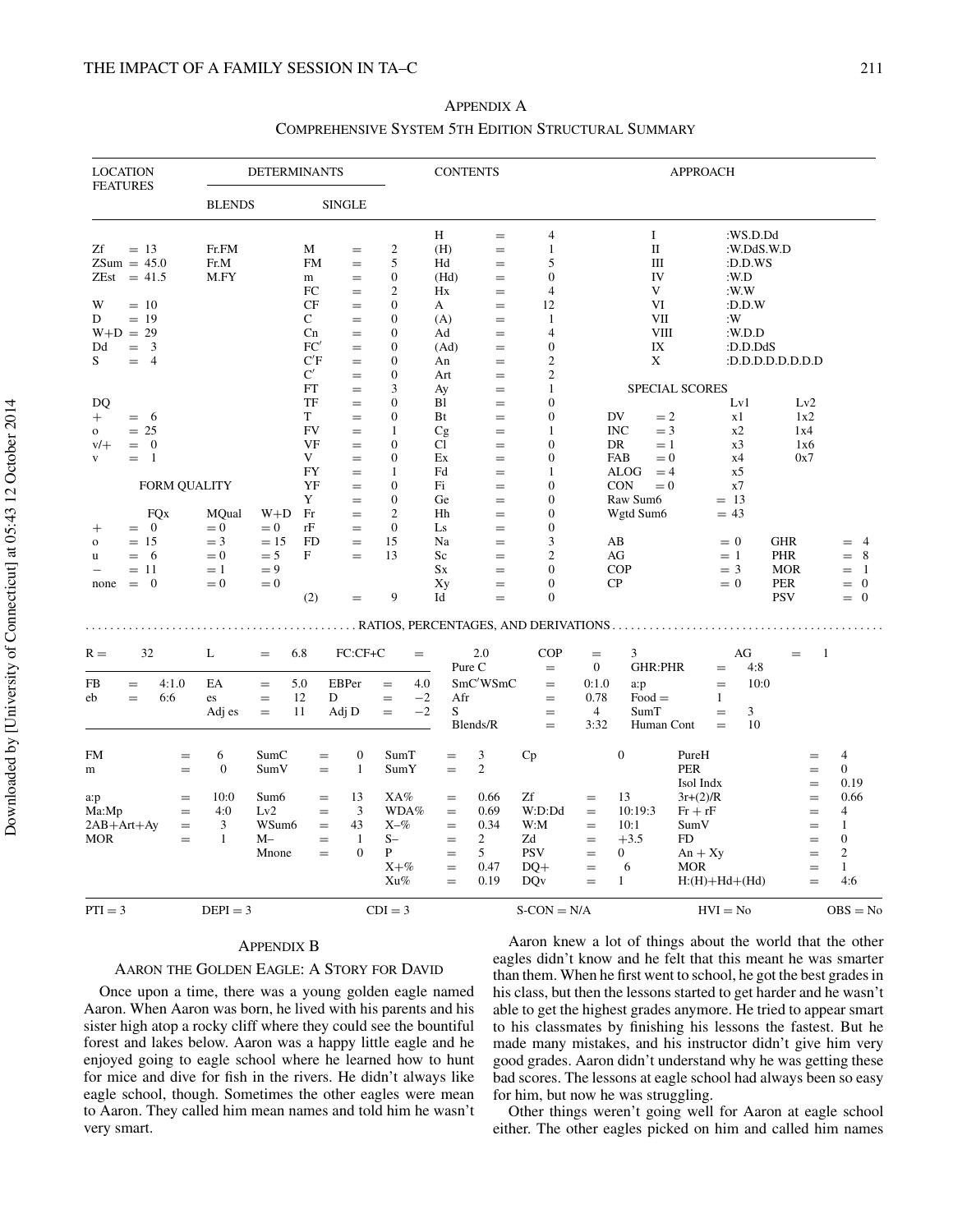| <b>LOCATION</b><br><b>FEATURES</b>                                                                                                                     |                                                       | <b>DETERMINANTS</b>                                                                                                              |                                                                                                                                                                                                                                    |                                                                                                                                                           | <b>CONTENTS</b>                                                                    |                                                                                                                                                                 |                                                                                                                                             | <b>APPROACH</b>                                                                                                                |                                                                    |                                                                                                                                  |
|--------------------------------------------------------------------------------------------------------------------------------------------------------|-------------------------------------------------------|----------------------------------------------------------------------------------------------------------------------------------|------------------------------------------------------------------------------------------------------------------------------------------------------------------------------------------------------------------------------------|-----------------------------------------------------------------------------------------------------------------------------------------------------------|------------------------------------------------------------------------------------|-----------------------------------------------------------------------------------------------------------------------------------------------------------------|---------------------------------------------------------------------------------------------------------------------------------------------|--------------------------------------------------------------------------------------------------------------------------------|--------------------------------------------------------------------|----------------------------------------------------------------------------------------------------------------------------------|
|                                                                                                                                                        | <b>BLENDS</b>                                         |                                                                                                                                  | <b>SINGLE</b>                                                                                                                                                                                                                      |                                                                                                                                                           |                                                                                    |                                                                                                                                                                 |                                                                                                                                             |                                                                                                                                |                                                                    |                                                                                                                                  |
| Zf<br>$= 13$<br>$ZSum = 45.0$<br>ZEst<br>$= 41.5$                                                                                                      | Fr.FM<br>Fr.M<br>M.FY                                 | М<br><b>FM</b><br>m<br>${\rm FC}$                                                                                                | $\overline{2}$<br>$=$<br>5<br>$=$<br>$\mathbf{0}$<br>$=$<br>$\overline{2}$<br>$=$                                                                                                                                                  | H<br>(H)<br>Hd<br>(Hd)<br>Hx                                                                                                                              | $=$<br>$=$<br>$=$<br>$=$<br>$=$                                                    | $\overline{4}$<br>$\mathbf{1}$<br>5<br>$\boldsymbol{0}$<br>$\overline{4}$                                                                                       | $\rm I$<br>$\mathbf{I}$<br>Ш<br>IV<br>$\mathbf{V}$                                                                                          | :WS.D.Dd<br>:W.DdS.W.D<br>$:$ D.D.WS<br>:W.D<br>:W.W                                                                           |                                                                    |                                                                                                                                  |
| W<br>$= 10$<br>$= 19$<br>D<br>$W+D = 29$<br>Dd<br>$=$<br>$\overline{\mathbf{3}}$<br>S<br>$= 4$                                                         |                                                       | CF<br>$\mathsf{C}$<br>Cn<br>FC'<br>C/F<br>$\mathrm{C}^\prime$                                                                    | $\overline{0}$<br>$=$<br>$\mathbf{0}$<br>$=$<br>$\mathbf{0}$<br>$=$<br>$\theta$<br>$=$<br>$\mathbf{0}$<br>$=$<br>$\Omega$<br>$=$                                                                                                   | A<br>(A)<br>Ad<br>(Ad)<br>An<br>Art                                                                                                                       | $=$<br>$=$<br>$=$<br>$=$<br>$=$<br>$=$                                             | 12<br>$\mathbf{1}$<br>$\overline{4}$<br>$\overline{0}$<br>$\overline{2}$<br>$\overline{2}$                                                                      | VI<br>VII<br><b>VIII</b><br>IX<br>X                                                                                                         | $:$ D.D.W<br>:W<br>$:$ W.D.D<br>:D.D.DdS                                                                                       | :D.D.D.D.D.D.D.D                                                   |                                                                                                                                  |
| DQ<br>$= 6$<br>$^{+}$<br>$= 25$<br>$\mathbf O$<br>$= 0$<br>$v/+$<br>$=$ 1<br>V<br><b>FORM QUALITY</b><br><b>FQx</b><br>$\overline{0}$<br>$^{+}$<br>$=$ | MOual<br>$= 0$                                        | <b>FT</b><br><b>TF</b><br>T<br><b>FV</b><br><b>VF</b><br>V<br><b>FY</b><br>YF<br>Y<br>$W+D$<br>Fr<br>$= 0$<br>rF                 | 3<br>$=$<br>$\mathbf{0}$<br>$=$<br>$\Omega$<br>$=$<br>$\mathbf{1}$<br>$=$<br>$\mathbf{0}$<br>$=$<br>$\Omega$<br>$=$<br>$\mathbf{1}$<br>$=$<br>$\overline{0}$<br>$=$<br>$\Omega$<br>$=$<br>$\overline{2}$<br>$=$<br>$\theta$<br>$=$ | Ay<br>B1<br>Bt<br>Cg<br>Cl<br>Ex<br>Fd<br>Fi<br>Ge<br>Hh<br>Ls                                                                                            | $=$<br>$=$<br>$=$<br>$=$<br>$=$<br>$=$<br>$=$<br>$=$<br>$=$<br>$=$<br>$=$          | $\mathbf{1}$<br>$\overline{0}$<br>$\Omega$<br>$\mathbf{1}$<br>$\overline{0}$<br>$\overline{0}$<br>1<br>$\overline{0}$<br>$\Omega$<br>$\overline{0}$<br>$\theta$ | DV.<br>$=2$<br><b>INC</b><br>$=$ 3<br>DR<br>$=1$<br>FAB<br>$= 0$<br><b>ALOG</b><br>$=4$<br><b>CON</b><br>$= 0$<br>Raw Sum6<br>Wgtd Sum6     | SPECIAL SCORES<br>Lv1<br>x1<br>x2<br>x3<br>x4<br>x <sub>5</sub><br>x7<br>$= 13$<br>$= 43$                                      | Lv2<br>1x2<br>1x4<br>1x6<br>0x7                                    |                                                                                                                                  |
| $= 15$<br>$\mathbf{o}$<br>- 6<br>$=$<br>u<br>$= 11$<br>$\overline{0}$<br>$=$<br>none                                                                   | $=$ 3<br>$= 0$<br>$=1$<br>$= 0$                       | <b>FD</b><br>$=15$<br>$= 5$<br>F<br>$= 9$<br>$= 0$<br>(2)                                                                        | 15<br>$=$<br>13<br>$=$<br>9<br>$=$                                                                                                                                                                                                 | Na<br>Sc<br>Sx<br>Xy<br>Id                                                                                                                                | $=$<br>$=$<br>$=$<br>$=$<br>$=$                                                    | 3<br>$\overline{c}$<br>$\theta$<br>$\overline{0}$<br>$\theta$                                                                                                   | AB<br>AG<br><b>COP</b><br>CP<br>RATIOS, PERCENTAGES, AND DERIVATIONS                                                                        | $= 0$<br>$=$ 1<br>$=$ 3<br>$= 0$                                                                                               | <b>GHR</b><br><b>PHR</b><br><b>MOR</b><br><b>PER</b><br><b>PSV</b> | $\overline{4}$<br>$=$<br>8<br>$=$<br>- 1<br>$=$<br>$\overline{0}$<br>$=$<br>$\theta$<br>$=$                                      |
| 32<br>$R =$<br>4:1.0<br>FB<br>$=$<br>6:6<br>eb<br>$=$                                                                                                  | L<br>EA<br>es<br>Adj es                               | 6.8<br>$=$<br>5.0<br>$=$<br>12<br>D<br>$=$<br>$=$<br>11                                                                          | FC:CF+C<br><b>EBPer</b><br>$=$<br>$=$<br>Adj D<br>$=$                                                                                                                                                                              | $=$<br>4.0<br>$-2$<br>$-2$<br>S                                                                                                                           | 2.0<br>Pure C<br>SmC'WSmC<br>Afr<br>Blends/R                                       | <b>COP</b><br>$\!\!\!=\!\!\!\!$<br>$=$<br>$=$<br>$=$<br>$=$                                                                                                     | 3<br>$=$<br>$\mathbf{0}$<br><b>GHR:PHR</b><br>0:1.0<br>a:p<br>0.78<br>$Food =$<br>$\overline{4}$<br>SumT<br>3:32<br>Human Cont              | AG<br>4:8<br>$=$<br>10:0<br>$=$<br>$\mathbf{1}$<br>3<br>$=$<br>10<br>$=$                                                       | $\mathbf{1}$<br>$=$                                                |                                                                                                                                  |
| FM<br>$=$<br>m<br>$=$<br>$=$<br>a:p<br>Ma:Mp<br>$=$<br>$2AB+Art+Ay$<br>$=$<br><b>MOR</b><br>$=$                                                        | 6<br>$\mathbf{0}$<br>10:0<br>4:0<br>3<br>$\mathbf{1}$ | SumC<br>$=$<br>SumV<br>$=$<br>Sum <sub>6</sub><br>$=$<br>Lv2<br>$=$<br>WSum6<br>$=$<br>$M-$<br>$\!\!\!=\!\!\!\!$<br>Mnone<br>$=$ | $\boldsymbol{0}$<br>1<br>13<br>3<br>43<br>$S-$<br>1<br>$\mathbf{P}$<br>$\theta$                                                                                                                                                    | SumT<br>$=$<br>SumY<br>$=$<br>XA%<br>$\hspace*{0.2em} = \hspace*{0.2em}$<br>WDA%<br>$=$<br>$X - \%$<br>$=$<br>$=$<br>$=$<br>$X + \%$<br>$=$<br>Xu%<br>$=$ | 3<br>$\overline{c}$<br>0.66<br>0.69<br>0.34<br>$\overline{c}$<br>5<br>0.47<br>0.19 | Cp<br>Zf<br>W:D:D <sub>d</sub><br>W:M<br>Zd<br><b>PSV</b><br>$DQ+$<br><b>DQv</b>                                                                                | $\boldsymbol{0}$<br>13<br>$=$<br>10:19:3<br>$=$<br>10:1<br>$=$<br>$+3.5$<br>$=$<br>$\overline{0}$<br>$=$<br>6<br>$=$<br>$\mathbf{1}$<br>$=$ | PureH<br><b>PER</b><br>Isol Indx<br>$3r+(2)/R$<br>$Fr + rF$<br>SumV<br><b>FD</b><br>$An + Xy$<br><b>MOR</b><br>$H:(H)+Hd+(Hd)$ | $=$<br>$=$<br>$=$<br>$=$<br>$=$<br>$=$<br>$=$<br>$=$<br>$=$<br>$=$ | $\overline{4}$<br>$\overline{0}$<br>0.19<br>0.66<br>$\overline{4}$<br>$\mathbf{1}$<br>$\overline{0}$<br>2<br>$\mathbf{1}$<br>4:6 |
| $PTI = 3$                                                                                                                                              | $DEPI = 3$                                            |                                                                                                                                  | $CDI = 3$                                                                                                                                                                                                                          |                                                                                                                                                           |                                                                                    | $S-CON = N/A$                                                                                                                                                   |                                                                                                                                             | $HVI = No$                                                                                                                     |                                                                    | $OBS = No$                                                                                                                       |

## APPENDIX A COMPREHENSIVE SYSTEM 5TH EDITION STRUCTURAL SUMMARY

## APPENDIX B

#### AARON THE GOLDEN EAGLE: A STORY FOR DAVID

Once upon a time, there was a young golden eagle named Aaron. When Aaron was born, he lived with his parents and his sister high atop a rocky cliff where they could see the bountiful forest and lakes below. Aaron was a happy little eagle and he enjoyed going to eagle school where he learned how to hunt for mice and dive for fish in the rivers. He didn't always like eagle school, though. Sometimes the other eagles were mean to Aaron. They called him mean names and told him he wasn't very smart.

Aaron knew a lot of things about the world that the other eagles didn't know and he felt that this meant he was smarter than them. When he first went to school, he got the best grades in his class, but then the lessons started to get harder and he wasn't able to get the highest grades anymore. He tried to appear smart to his classmates by finishing his lessons the fastest. But he made many mistakes, and his instructor didn't give him very good grades. Aaron didn't understand why he was getting these bad scores. The lessons at eagle school had always been so easy for him, but now he was struggling.

Other things weren't going well for Aaron at eagle school either. The other eagles picked on him and called him names